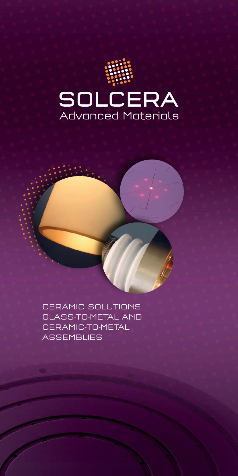

CERAMIC SOLUTIONS GLASS-TO-METAL AND CERAMIC-TO-METAL **ASSEMBLIES**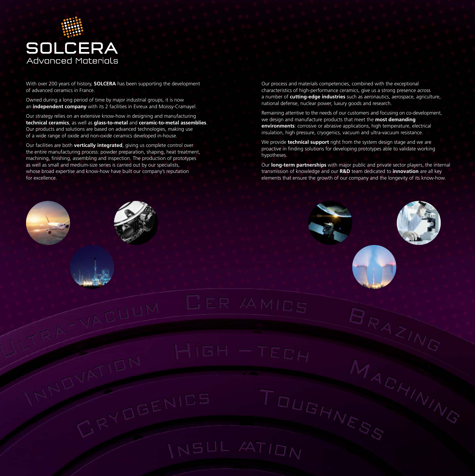

With over 200 years of history, **SOLCERA** has been supporting the development of advanced ceramics in France.

Owned during a long period of time by major industrial groups, it is now an **independent company** with its 2 facilities in Evreux and Moissy-Cramayel.

Our strategy relies on an extensive know-how in designing and manufacturing **technical ceramics**, as well as **glass-to-metal** and **ceramic-to-metal assemblies**. Our products and solutions are based on advanced technologies, making use of a wide range of oxide and non-oxide ceramics developed in-house.

Our facilities are both **vertically integrated**, giving us complete control over the entire manufacturing process: powder preparation, shaping, heat treatment, machining, finishing, assembling and inspection. The production of prototypes as well as small and medium-size series is carried out by our specialists, whose broad expertise and know-how have built our company's reputation for excellence.

Our process and materials competencies, combined with the exceptional characteristics of high-performance ceramics, give us a strong presence across a number of **cutting-edge industries** such as aeronautics, aerospace, agriculture, national defense, nuclear power, luxury goods and research.

Remaining attentive to the needs of our customers and focusing on co-development, we design and manufacture products that meet the **most demanding environments**: corrosive or abrasive applications, high temperature, electrical insulation, high pressure, cryogenics, vacuum and ultra-vacuum resistance.

We provide **technical support** right from the system design stage and we are proactive in finding solutions for developing prototypes able to validate working hypotheses.

Our **long-term partnerships** with major public and private sector players, the internal transmission of knowledge and our **R&D** team dedicated to **innovation** are all key elements that ensure the growth of our company and the longevity of its know-how.

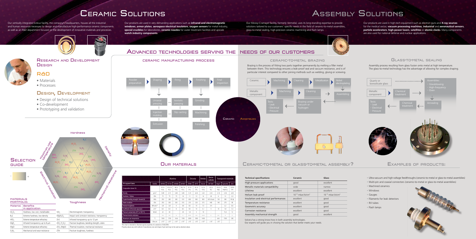•Ultra-vacuum and high-voltage feedthroughs (ceramic-to-metal or glass-to-metal assemblies)

- •Multi-pin and coaxial connectors (ceramic-to-metal or glass-to-metal assemblies)
- •Machined ceramics
- •Windows
- •Gauges
- •Filaments for leak detectors
- •RX tubes
- •Flash lamps



## CERAMIC SOLUTIONS

Our vertically integrated Evreux facility, the company's headquarters, houses all the industrial and human resources necessary to design and manufacture high-performance ceramic components as well as an R&D department focused on the development of innovative materials and processes.

**GUIDE** 

 $Al_2O_3$ 

 $HfO<sub>2</sub>$ 

MaF<sub>2</sub>

 $Si<sub>3</sub>N<sub>4</sub>$ 

Our Moissy-Cramayel facility, formerly Vermetal, uses its long-standing expertise to provide solutions tailored to our customers' specific needs in the field of ceramic-to-metal assemblies, glass-to-metal sealing, high-precision ceramic machining and flash lamps.

Our products are used in very demanding applications such as **infrared and electromagnetic windows**, **armor plates**, **aerospace electrical insulators**, **oxygen sensors** for metal industry, **special crucibles** for laboratories, **ceramic nozzles** for water treatment facilities and upscale **watch industry components**.

Our products are used in high-tech equipment such as electron guns and **X-ray sources** for the medical sector, **vacuum processing machines**, **industrial** and **aeronautical sensors**, **particle accelerators**, **high-power lasers**, **satellites** or **atomic clocks**. Many components

are also used for national defense and nuclear applications.

Assembly process resulting from glass fusion onto metal at high temperature. The glass-to-metal technology has the advantage of allowing for complex shaping.

## ADVANCED TECHNOLOGIES SERVING THE NEEDS OF OUR CUSTOMERS

### GLASS-TO-METAL SEALING







# **ASSEMBLY SOLUTIONS**

![](_page_2_Picture_7.jpeg)